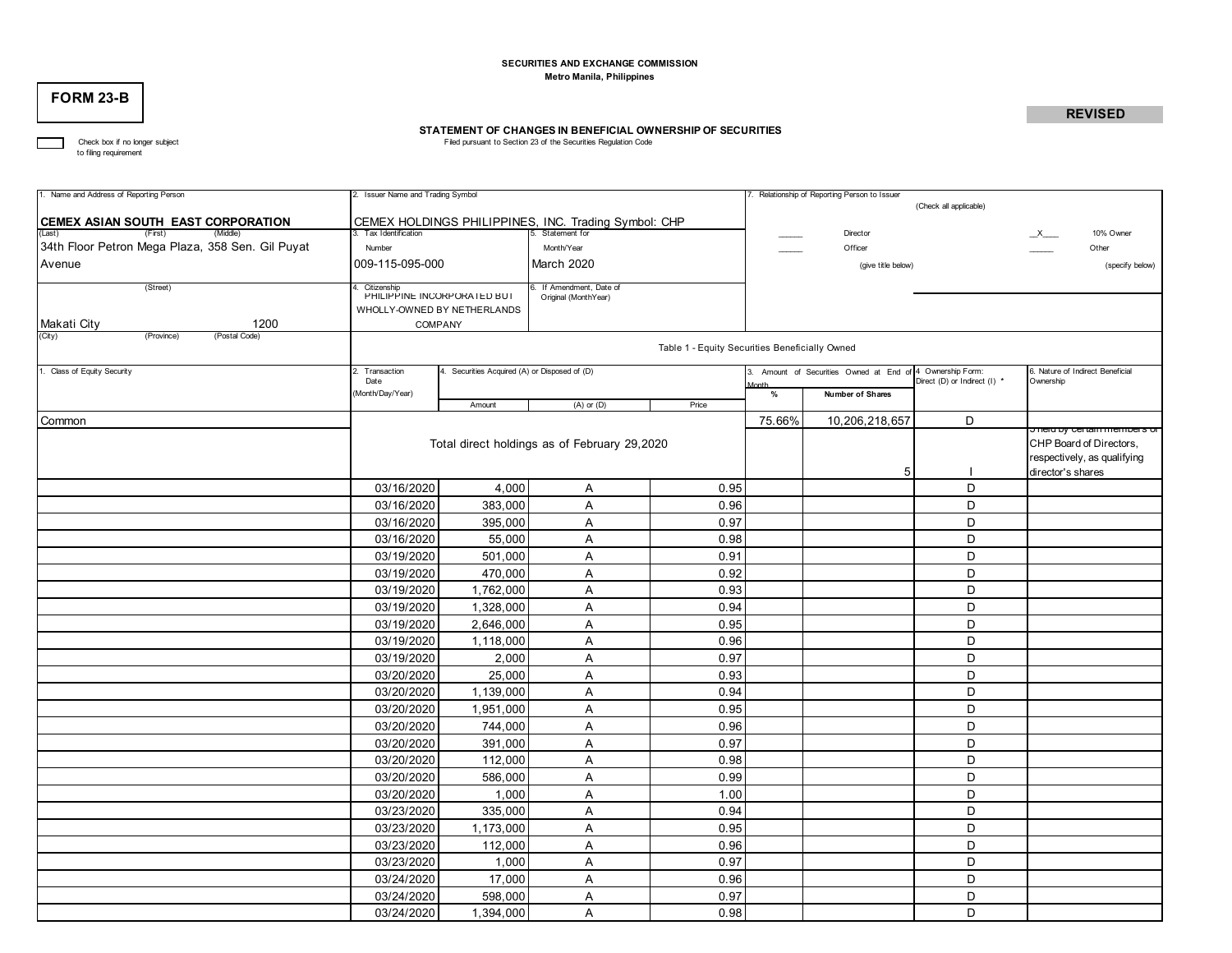### **SECURITIES AND EXCHANGE COMMISSION Metro Manila, Philippines**

# **FORM 23-B**

# **REVISED**

# **STATEMENT OF CHANGES IN BENEFICIAL OWNERSHIP OF SECURITIES**<br>Filed pursuant to Section 23 of the Securities Regulation Code

The Check box if no longer subject<br>to filing requirement

| 1. Name and Address of Reporting Person                             | 2. Issuer Name and Trading Symbol              |                                            |                                                      |       |        | 7. Relationship of Reporting Person to Issuer |                              |                                                               |  |  |  |  |
|---------------------------------------------------------------------|------------------------------------------------|--------------------------------------------|------------------------------------------------------|-------|--------|-----------------------------------------------|------------------------------|---------------------------------------------------------------|--|--|--|--|
|                                                                     |                                                |                                            |                                                      |       |        |                                               | (Check all applicable)       |                                                               |  |  |  |  |
| CEMEX ASIAN SOUTH EAST CORPORATION<br>(First)<br>(Last)<br>(Middle) | 3. Tax Identification                          |                                            | CEMEX HOLDINGS PHILIPPINES, INC. Trading Symbol: CHP |       |        | Director                                      |                              | 10% Owner                                                     |  |  |  |  |
| 34th Floor Petron Mega Plaza, 358 Sen. Gil Puyat                    | Number                                         |                                            | Month/Year                                           |       |        | Officer                                       |                              | $\mathsf{X}_{\mathsf{max}}$<br>Other                          |  |  |  |  |
| Avenue                                                              | 009-115-095-000                                |                                            | March 2020                                           |       |        | (give title below)                            |                              | (specify below)                                               |  |  |  |  |
|                                                                     |                                                |                                            |                                                      |       |        |                                               |                              |                                                               |  |  |  |  |
| (Street)                                                            | Citizenship<br>PHILIPPINE INCORPORATED BUT     |                                            | If Amendment, Date of<br>Original (MonthYear)        |       |        |                                               |                              |                                                               |  |  |  |  |
|                                                                     |                                                | WHOLLY-OWNED BY NETHERLANDS                |                                                      |       |        |                                               |                              |                                                               |  |  |  |  |
| 1200<br>Makati City                                                 |                                                | COMPANY                                    |                                                      |       |        |                                               |                              |                                                               |  |  |  |  |
| (City)<br>(Province)<br>(Postal Code)                               | Table 1 - Equity Securities Beneficially Owned |                                            |                                                      |       |        |                                               |                              |                                                               |  |  |  |  |
|                                                                     |                                                |                                            |                                                      |       |        |                                               |                              |                                                               |  |  |  |  |
| 1. Class of Equity Security                                         | 2. Transaction<br>Date                         | Securities Acquired (A) or Disposed of (D) |                                                      |       |        | Amount of Securities Owned at End of          | 4 Ownership Form:            | 6. Nature of Indirect Beneficial<br>Ownership                 |  |  |  |  |
|                                                                     | Month/Day/Year)                                |                                            |                                                      |       |        | Number of Shares                              | Direct (D) or Indirect (I) * |                                                               |  |  |  |  |
|                                                                     |                                                | Amount                                     | $(A)$ or $(D)$                                       | Price | %      |                                               |                              |                                                               |  |  |  |  |
| Common                                                              |                                                |                                            |                                                      |       | 75.66% | 10,206,218,657                                | D                            |                                                               |  |  |  |  |
|                                                                     | Total direct holdings as of February 29,2020   |                                            |                                                      |       |        |                                               |                              | <u>Jield by Certain members Or</u><br>CHP Board of Directors, |  |  |  |  |
|                                                                     |                                                |                                            |                                                      |       |        |                                               |                              | respectively, as qualifying                                   |  |  |  |  |
|                                                                     |                                                |                                            |                                                      |       |        | 5                                             |                              | director's shares                                             |  |  |  |  |
|                                                                     | 03/16/2020                                     | 4,000                                      | A                                                    | 0.95  |        |                                               | D                            |                                                               |  |  |  |  |
|                                                                     | 03/16/2020                                     | 383,000                                    | $\overline{A}$                                       | 0.96  |        |                                               | D                            |                                                               |  |  |  |  |
|                                                                     | 03/16/2020                                     | 395,000                                    | $\overline{A}$                                       | 0.97  |        |                                               | D                            |                                                               |  |  |  |  |
|                                                                     | 03/16/2020                                     | 55,000                                     | $\overline{A}$                                       | 0.98  |        |                                               | D                            |                                                               |  |  |  |  |
|                                                                     | 03/19/2020                                     | 501,000                                    | Α                                                    | 0.91  |        |                                               | D                            |                                                               |  |  |  |  |
|                                                                     | 03/19/2020                                     | 470,000                                    | Α                                                    | 0.92  |        |                                               | D                            |                                                               |  |  |  |  |
|                                                                     | 03/19/2020                                     | 1,762,000                                  | Α                                                    | 0.93  |        |                                               | D                            |                                                               |  |  |  |  |
|                                                                     | 03/19/2020                                     | 1,328,000                                  | A                                                    | 0.94  |        |                                               | D                            |                                                               |  |  |  |  |
|                                                                     | 03/19/2020                                     | 2,646,000                                  | A                                                    | 0.95  |        |                                               | D                            |                                                               |  |  |  |  |
|                                                                     | 03/19/2020                                     | 1,118,000                                  | Α                                                    | 0.96  |        |                                               | D                            |                                                               |  |  |  |  |
|                                                                     | 03/19/2020                                     | 2,000                                      | Α                                                    | 0.97  |        |                                               | D                            |                                                               |  |  |  |  |
|                                                                     | 03/20/2020                                     | 25,000                                     | $\overline{A}$                                       | 0.93  |        |                                               | D                            |                                                               |  |  |  |  |
|                                                                     | 03/20/2020                                     | 1,139,000                                  | Α                                                    | 0.94  |        |                                               | D                            |                                                               |  |  |  |  |
|                                                                     | 03/20/2020                                     | 1,951,000                                  | $\overline{A}$                                       | 0.95  |        |                                               | D                            |                                                               |  |  |  |  |
|                                                                     | 03/20/2020                                     | 744,000                                    | $\overline{A}$                                       | 0.96  |        |                                               | D                            |                                                               |  |  |  |  |
|                                                                     | 03/20/2020                                     | 391,000                                    | A                                                    | 0.97  |        |                                               | D                            |                                                               |  |  |  |  |
|                                                                     | 03/20/2020                                     | 112,000                                    | Α                                                    | 0.98  |        |                                               | D                            |                                                               |  |  |  |  |
|                                                                     | 03/20/2020                                     | 586,000                                    | A                                                    | 0.99  |        |                                               | D                            |                                                               |  |  |  |  |
|                                                                     | 03/20/2020                                     | 1,000                                      | Α                                                    | 1.00  |        |                                               | D                            |                                                               |  |  |  |  |
|                                                                     | 03/23/2020                                     | 335,000                                    | Α                                                    | 0.94  |        |                                               | D                            |                                                               |  |  |  |  |
|                                                                     | 03/23/2020                                     | 1,173,000                                  | Α                                                    | 0.95  |        |                                               | D                            |                                                               |  |  |  |  |
|                                                                     | 03/23/2020                                     | 112,000                                    | A                                                    | 0.96  |        |                                               | D                            |                                                               |  |  |  |  |
|                                                                     | 03/23/2020                                     | 1,000                                      | $\overline{A}$                                       | 0.97  |        |                                               | D                            |                                                               |  |  |  |  |
|                                                                     | 03/24/2020                                     | 17,000                                     | Α                                                    | 0.96  |        |                                               | D                            |                                                               |  |  |  |  |
|                                                                     | 03/24/2020                                     | 598,000                                    | A                                                    | 0.97  |        |                                               | D                            |                                                               |  |  |  |  |
|                                                                     | 03/24/2020                                     | 1,394,000                                  | A                                                    | 0.98  |        |                                               | D                            |                                                               |  |  |  |  |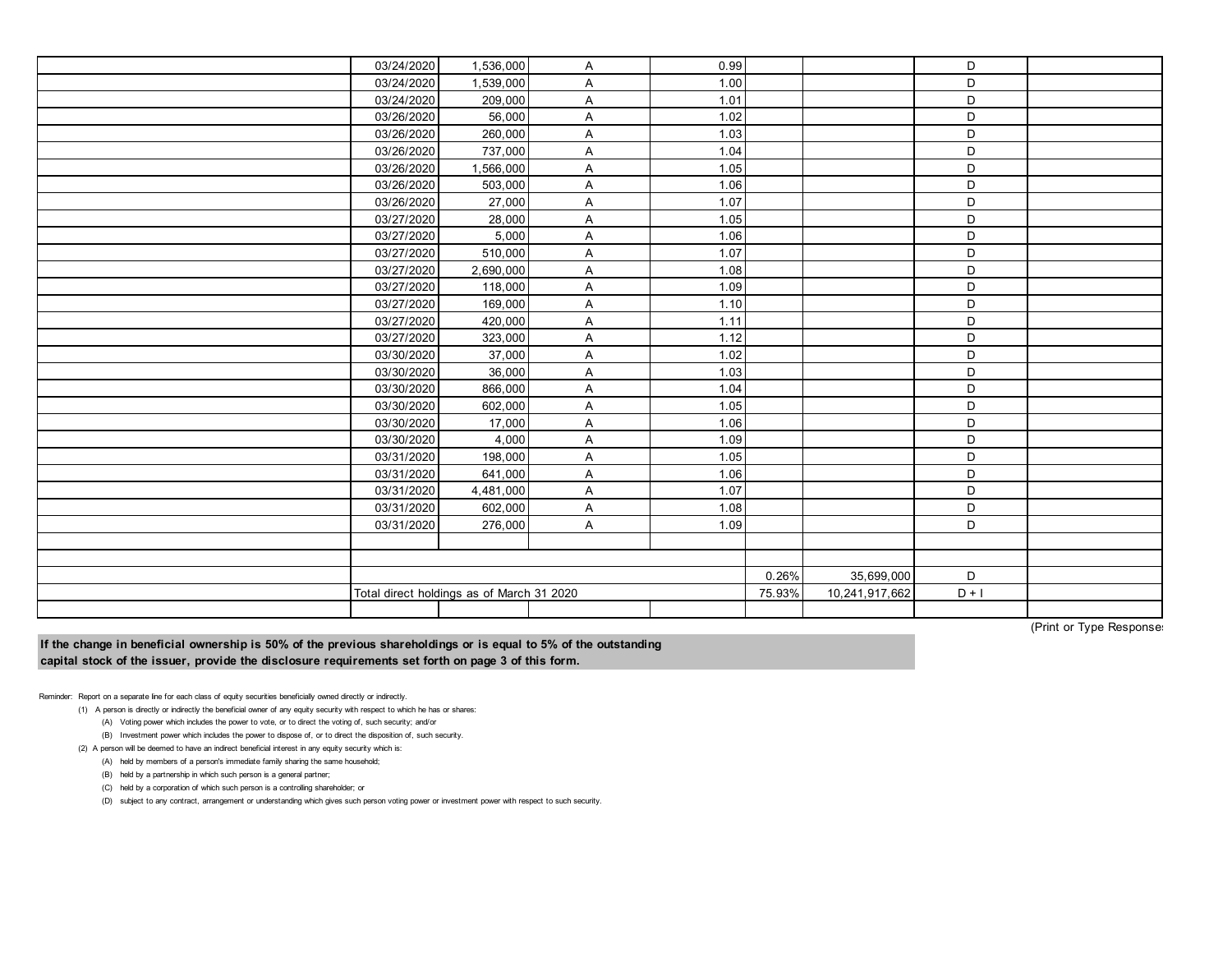| 03/24/2020 | 1,536,000                                 | A              | 0.99 |        |                | D       |  |
|------------|-------------------------------------------|----------------|------|--------|----------------|---------|--|
| 03/24/2020 | 1,539,000                                 | A              | 1.00 |        |                | D       |  |
| 03/24/2020 | 209,000                                   | A              | 1.01 |        |                | D       |  |
| 03/26/2020 | 56,000                                    | A              | 1.02 |        |                | D       |  |
| 03/26/2020 | 260,000                                   | $\overline{A}$ | 1.03 |        |                | D       |  |
| 03/26/2020 | 737,000                                   | $\overline{A}$ | 1.04 |        |                | D       |  |
| 03/26/2020 | 1,566,000                                 | A              | 1.05 |        |                | D       |  |
| 03/26/2020 | 503,000                                   | A              | 1.06 |        |                | D       |  |
| 03/26/2020 | 27,000                                    | A              | 1.07 |        |                | D       |  |
| 03/27/2020 | 28,000                                    | A              | 1.05 |        |                | D       |  |
| 03/27/2020 | 5,000                                     | A              | 1.06 |        |                | D       |  |
| 03/27/2020 | 510,000                                   | $\overline{A}$ | 1.07 |        |                | D       |  |
| 03/27/2020 | 2,690,000                                 | $\overline{A}$ | 1.08 |        |                | D       |  |
| 03/27/2020 | 118,000                                   | $\overline{A}$ | 1.09 |        |                | D       |  |
| 03/27/2020 | 169,000                                   | A              | 1.10 |        |                | D       |  |
| 03/27/2020 | 420,000                                   | A              | 1.11 |        |                | D       |  |
| 03/27/2020 | 323,000                                   | A              | 1.12 |        |                | D       |  |
| 03/30/2020 | 37,000                                    | $\overline{A}$ | 1.02 |        |                | D       |  |
| 03/30/2020 | 36,000                                    | A              | 1.03 |        |                | D       |  |
| 03/30/2020 | 866,000                                   | $\overline{A}$ | 1.04 |        |                | D       |  |
| 03/30/2020 | 602,000                                   | A              | 1.05 |        |                | D       |  |
| 03/30/2020 | 17,000                                    | A              | 1.06 |        |                | D       |  |
| 03/30/2020 | 4,000                                     | $\overline{A}$ | 1.09 |        |                | D       |  |
| 03/31/2020 | 198,000                                   | A              | 1.05 |        |                | D       |  |
| 03/31/2020 | 641,000                                   | $\overline{A}$ | 1.06 |        |                | D       |  |
| 03/31/2020 | 4,481,000                                 | A              | 1.07 |        |                | D       |  |
| 03/31/2020 | 602,000                                   | $\overline{A}$ | 1.08 |        |                | D       |  |
| 03/31/2020 | 276,000                                   | $\overline{A}$ | 1.09 |        |                | D       |  |
|            |                                           |                |      |        |                |         |  |
|            |                                           |                |      |        |                |         |  |
|            |                                           |                |      | 0.26%  | 35,699,000     | D       |  |
|            | Total direct holdings as of March 31 2020 |                |      | 75.93% | 10,241,917,662 | $D + I$ |  |
|            |                                           |                |      |        |                |         |  |
|            |                                           |                |      |        |                |         |  |

(Print or Type Responses)

**If the change in beneficial ownership is 50% of the previous shareholdings or is equal to 5% of the outstanding capital stock of the issuer, provide the disclosure requirements set forth on page 3 of this form.**

Reminder: Report on a separate line for each class of equity securities beneficially owned directly or indirectly.

(1) A person is directly or indirectly the beneficial owner of any equity security with respect to which he has or shares:

(A) Voting power which includes the power to vote, or to direct the voting of, such security; and/or

(B) Investment power which includes the power to dispose of, or to direct the disposition of, such security.

(2) A person will be deemed to have an indirect beneficial interest in any equity security which is:

(A) held by members of a person's immediate family sharing the same household;

(B) held by a partnership in which such person is a general partner;

(C) held by a corporation of which such person is a controlling shareholder; or

(D) subject to any contract, arrangement or understanding which gives such person voting power or investment power with respect to such security.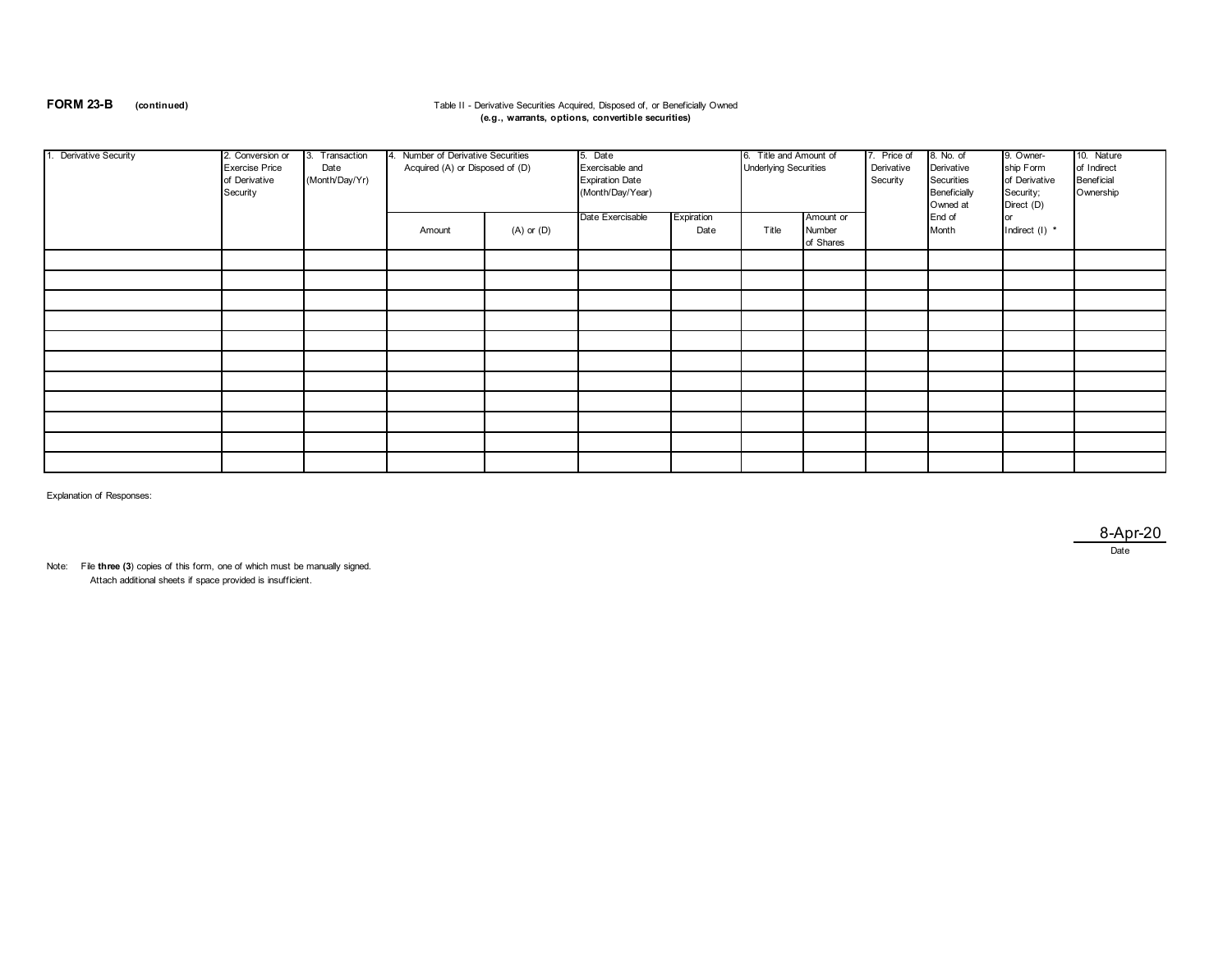## **FORM 23-B** (continued) **Table II - Derivative Securities Acquired, Disposed of, or Beneficially Owned (e.g., warrants, options, convertible securities)**

| 1. Derivative Security | 2. Conversion or<br><b>Exercise Price</b><br>of Derivative<br>Security | Transaction<br>Date<br>(Month/Day/Yr) | 4. Number of Derivative Securities<br>Acquired (A) or Disposed of (D) |                | 5. Date<br>Exercisable and<br><b>Expiration Date</b><br>(Month/Day/Year) |                    | 6. Title and Amount of<br><b>Underlying Securities</b> |                                  | 7. Price of<br>Derivative<br>Security | 8. No. of<br>Derivative<br>Securities<br>Beneficially<br>Owned at | 9. Owner-<br>ship Form<br>of Derivative<br>Security;<br>Direct (D) | 10. Nature<br>of Indirect<br><b>Beneficial</b><br>Ownership |
|------------------------|------------------------------------------------------------------------|---------------------------------------|-----------------------------------------------------------------------|----------------|--------------------------------------------------------------------------|--------------------|--------------------------------------------------------|----------------------------------|---------------------------------------|-------------------------------------------------------------------|--------------------------------------------------------------------|-------------------------------------------------------------|
|                        |                                                                        |                                       | Amount                                                                | $(A)$ or $(D)$ | Date Exercisable                                                         | Expiration<br>Date | Title                                                  | Amount or<br>Number<br>of Shares |                                       | End of<br>Month                                                   | or<br>Indirect (I) *                                               |                                                             |
|                        |                                                                        |                                       |                                                                       |                |                                                                          |                    |                                                        |                                  |                                       |                                                                   |                                                                    |                                                             |
|                        |                                                                        |                                       |                                                                       |                |                                                                          |                    |                                                        |                                  |                                       |                                                                   |                                                                    |                                                             |
|                        |                                                                        |                                       |                                                                       |                |                                                                          |                    |                                                        |                                  |                                       |                                                                   |                                                                    |                                                             |
|                        |                                                                        |                                       |                                                                       |                |                                                                          |                    |                                                        |                                  |                                       |                                                                   |                                                                    |                                                             |
|                        |                                                                        |                                       |                                                                       |                |                                                                          |                    |                                                        |                                  |                                       |                                                                   |                                                                    |                                                             |
|                        |                                                                        |                                       |                                                                       |                |                                                                          |                    |                                                        |                                  |                                       |                                                                   |                                                                    |                                                             |
|                        |                                                                        |                                       |                                                                       |                |                                                                          |                    |                                                        |                                  |                                       |                                                                   |                                                                    |                                                             |
|                        |                                                                        |                                       |                                                                       |                |                                                                          |                    |                                                        |                                  |                                       |                                                                   |                                                                    |                                                             |
|                        |                                                                        |                                       |                                                                       |                |                                                                          |                    |                                                        |                                  |                                       |                                                                   |                                                                    |                                                             |
|                        |                                                                        |                                       |                                                                       |                |                                                                          |                    |                                                        |                                  |                                       |                                                                   |                                                                    |                                                             |
|                        |                                                                        |                                       |                                                                       |                |                                                                          |                    |                                                        |                                  |                                       |                                                                   |                                                                    |                                                             |

Explanation of Responses:

8-Apr-20 Date

Note: File **three (3**) copies of this form, one of which must be manually signed. Attach additional sheets if space provided is insufficient.